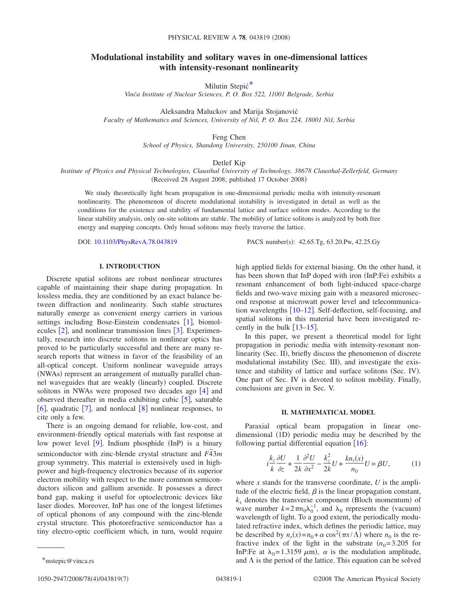# **Modulational instability and solitary waves in one-dimensional lattices with intensity-resonant nonlinearity**

Milutin Stepić[\\*](#page-0-0)

*Vinča Institute of Nuclear Sciences, P. O. Box 522, 11001 Belgrade, Serbia*

Aleksandra Maluckov and Marija Stojanović *Faculty of Mathematics and Sciences, University of Niš, P. O. Box 224, 18001 Niš, Serbia*

Feng Chen

*School of Physics, Shandong University, 250100 Jinan, China*

Detlef Kip

*Institute of Physics and Physical Technologies, Clausthal University of Technology, 38678 Clausthal-Zellerfeld, Germany* (Received 28 August 2008; published 17 October 2008)

We study theoretically light beam propagation in one-dimensional periodic media with intensity-resonant nonlinearity. The phenomenon of discrete modulational instability is investigated in detail as well as the conditions for the existence and stability of fundamental lattice and surface soliton modes. According to the linear stability analysis, only on-site solitons are stable. The mobility of lattice solitons is analyzed by both free energy and mapping concepts. Only broad solitons may freely traverse the lattice.

DOI: [10.1103/PhysRevA.78.043819](http://dx.doi.org/10.1103/PhysRevA.78.043819)

PACS number(s): 42.65.Tg, 63.20.Pw, 42.25.Gy

## **I. INTRODUCTION**

Discrete spatial solitons are robust nonlinear structures capable of maintaining their shape during propagation. In lossless media, they are conditioned by an exact balance between diffraction and nonlinearity. Such stable structures naturally emerge as convenient energy carriers in various settings including Bose-Einstein condensates  $[1]$  $[1]$  $[1]$ , biomolecules  $[2]$  $[2]$  $[2]$ , and nonlinear transmission lines  $[3]$  $[3]$  $[3]$ . Experimentally, research into discrete solitons in nonlinear optics has proved to be particularly successful and there are many research reports that witness in favor of the feasibility of an all-optical concept. Uniform nonlinear waveguide arrays (NWAs) represent an arrangement of mutually parallel channel waveguides that are weakly (linearly) coupled. Discrete solitons in NWAs were proposed two decades ago  $[4]$  $[4]$  $[4]$  and observed thereafter in media exhibiting cubic  $\lceil 5 \rceil$  $\lceil 5 \rceil$  $\lceil 5 \rceil$ , saturable [[6](#page-5-5)], quadratic  $\lceil 7 \rceil$  $\lceil 7 \rceil$  $\lceil 7 \rceil$ , and nonlocal  $\lceil 8 \rceil$  $\lceil 8 \rceil$  $\lceil 8 \rceil$  nonlinear responses, to cite only a few.

There is an ongoing demand for reliable, low-cost, and environment-friendly optical materials with fast response at low power level [[9](#page-5-8)]. Indium phosphide (InP) is a binary semiconductor with zinc-blende crystal structure and  $\overline{F43}m$ group symmetry. This material is extensively used in highpower and high-frequency electronics because of its superior electron mobility with respect to the more common semiconductors silicon and gallium arsenide. It possesses a direct band gap, making it useful for optoelectronic devices like laser diodes. Moreover, InP has one of the longest lifetimes of optical phonons of any compound with the zinc-blende crystal structure. This photorefractive semiconductor has a tiny electro-optic coefficient which, in turn, would require

high applied fields for external biasing. On the other hand, it has been shown that InP doped with iron (InP:Fe) exhibits a resonant enhancement of both light-induced space-charge fields and two-wave mixing gain with a measured microsecond response at microwatt power level and telecommunication wavelengths  $\left[10-12\right]$  $\left[10-12\right]$  $\left[10-12\right]$ . Self-deflection, self-focusing, and spatial solitons in this material have been investigated recently in the bulk  $[13-15]$  $[13-15]$  $[13-15]$ .

In this paper, we present a theoretical model for light propagation in periodic media with intensity-resonant nonlinearity (Sec. II), briefly discuss the phenomenon of discrete modulational instability (Sec. III), and investigate the existence and stability of lattice and surface solitons (Sec. IV). One part of Sec. IV is devoted to soliton mobility. Finally, conclusions are given in Sec. V.

# **II. MATHEMATICAL MODEL**

Paraxial optical beam propagation in linear onedimensional (1D) periodic media may be described by the following partial differential equation  $[16]$  $[16]$  $[16]$ :

<span id="page-0-1"></span>
$$
i\frac{k_z}{k}\frac{\partial U}{\partial z} + \frac{1}{2k}\frac{\partial^2 U}{\partial x^2} - \frac{k_z^2}{2k}U + \frac{kn_r(x)}{n_0}U = \beta U,\tag{1}
$$

where  $x$  stands for the transverse coordinate,  $U$  is the amplitude of the electric field,  $\beta$  is the linear propagation constant,  $k_x$  denotes the transverse component (Bloch momentum) of wave number  $k = 2\pi n_0 \lambda_0^{-1}$ , and  $\lambda_0$  represents the (vacuum) wavelength of light. To a good extent, the periodically modulated refractive index, which defines the periodic lattice, may be described by  $n_r(x) = n_0 + \alpha \cos^2(\pi x/\Lambda)$  where  $n_0$  is the refractive index of the light in the substrate  $(n_0=3.205)$  for InP:Fe at  $\lambda_0 = 1.3159 \mu m$ ,  $\alpha$  is the modulation amplitude, \*mstepic@vinca.rs and  $\Lambda$  is the period of the lattice. This equation can be solved

<span id="page-0-0"></span>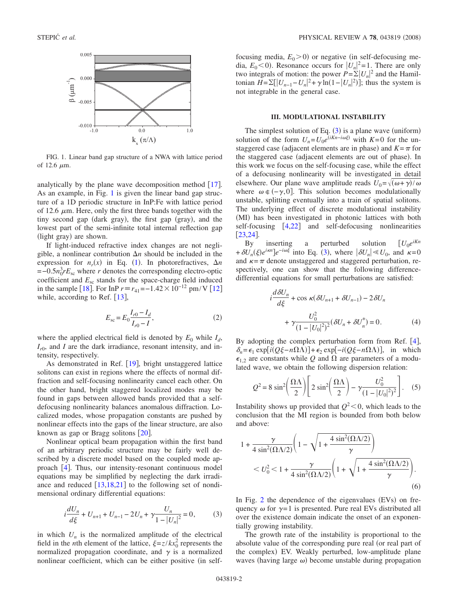<span id="page-1-0"></span>

FIG. 1. Linear band gap structure of a NWA with lattice period of 12.6  $\mu$ m.

analytically by the plane wave decomposition method  $[17]$  $[17]$  $[17]$ . As an example, in Fig. [1](#page-1-0) is given the linear band gap structure of a 1D periodic structure in InP:Fe with lattice period of 12.6  $\mu$ m. Here, only the first three bands together with the tiny second gap (dark gray), the first gap (gray), and the lowest part of the semi-infinite total internal reflection gap (light gray) are shown.

If light-induced refractive index changes are not negligible, a nonlinear contribution  $\Delta n$  should be included in the expression for  $n_r(x)$  in Eq. ([1](#page-0-1)). In photorefractives,  $\Delta n$  $=-0.5n_0^3rE_{sc}$  where *r* denotes the corresponding electro-optic coefficient and *E*sc stands for the space-charge field induced in the sample [[18](#page-6-2)]. For InP  $r \equiv r_{41} = -1.42 \times 10^{-12}$  $r \equiv r_{41} = -1.42 \times 10^{-12}$  $r \equiv r_{41} = -1.42 \times 10^{-12}$  pm/V [12] while, according to Ref.  $[13]$  $[13]$  $[13]$ ,

$$
E_{\rm sc} = E_0 \frac{I_{r0} - I_d}{I_{r0} - I},\tag{2}
$$

where the applied electrical field is denoted by  $E_0$  while  $I_d$ ,  $I_{r0}$ , and *I* are the dark irradiance, resonant intensity, and intensity, respectively.

As demonstrated in Ref. [[19](#page-6-3)], bright unstaggered lattice solitons can exist in regions where the effects of normal diffraction and self-focusing nonlinearity cancel each other. On the other hand, bright staggered localized modes may be found in gaps between allowed bands provided that a selfdefocusing nonlinearity balances anomalous diffraction. Localized modes, whose propagation constants are pushed by nonlinear effects into the gaps of the linear structure, are also known as gap or Bragg solitons  $\lceil 20 \rceil$  $\lceil 20 \rceil$  $\lceil 20 \rceil$ .

Nonlinear optical beam propagation within the first band of an arbitrary periodic structure may be fairly well described by a discrete model based on the coupled mode approach  $[4]$  $[4]$  $[4]$ . Thus, our intensity-resonant continuous model equations may be simplified by neglecting the dark irradiance and reduced  $\left[13,18,21\right]$  $\left[13,18,21\right]$  $\left[13,18,21\right]$  $\left[13,18,21\right]$  $\left[13,18,21\right]$  to the following set of nondimensional ordinary differential equations:

$$
i\frac{dU_n}{d\xi} + U_{n+1} + U_{n-1} - 2U_n + \gamma \frac{U_n}{1 - |U_n|^2} = 0, \qquad (3)
$$

<span id="page-1-1"></span>in which  $U_n$  is the normalized amplitude of the electrical field in the *n*th element of the lattice,  $\xi = z/kx_0^2$  represents the normalized propagation coordinate, and  $\gamma$  is a normalized nonlinear coefficient, which can be either positive (in self-

focusing media,  $E_0 > 0$ ) or negative (in self-defocusing media,  $E_0 < 0$ ). Resonance occurs for  $|U_n|^2 = 1$ . There are only two integrals of motion: the power  $P = \sum_{n=1}^{\infty} U_n^2$  and the Hamiltonian  $H = \sum [ |U_{n-1} - U_n|^2 + \gamma \ln(1 - |U_n|^2) ]$ ; thus the system is not integrable in the general case.

# **III. MODULATIONAL INSTABILITY**

The simplest solution of Eq. ([3](#page-1-1)) is a plane wave (uniform) solution of the form  $U_n = U_0 e^{(iKn - i\omega\xi)}$  with *K*=0 for the unstaggered case (adjacent elements are in phase) and  $K = \pi$  for the staggered case (adjacent elements are out of phase). In this work we focus on the self-focusing case, while the effect of a defocusing nonlinearity will be investigated in detail elsewhere. Our plane wave amplitude reads  $U_0 = \sqrt{(\omega + \gamma)/\omega}$ where  $\omega \notin (-\gamma, 0]$ . This solution becomes modulationally unstable, splitting eventually into a train of spatial solitons. The underlying effect of discrete modulational instability (MI) has been investigated in photonic lattices with both self-focusing  $[4,22]$  $[4,22]$  $[4,22]$  $[4,22]$  and self-defocusing nonlinearities  $[23, 24]$  $[23, 24]$  $[23, 24]$  $[23, 24]$  $[23, 24]$ .

By inserting a perturbed solution  $[U_0e^{iKn}]$  $+\delta U_n(\xi)e^{i\kappa n}$ ] $e^{-i\omega\xi}$  into Eq. ([3](#page-1-1)), where  $|\delta U_n| \le U_0$ , and  $\kappa = 0$ and  $\kappa = \pi$  denote unstaggered and staggered perturbation, respectively, one can show that the following differencedifferential equations for small perturbations are satisfied:

$$
i\frac{d\delta U_n}{d\xi} + \cos \kappa (\delta U_{n+1} + \delta U_{n-1}) - 2\delta U_n
$$

$$
+ \gamma \frac{U_0^2}{(1 - |U_0|^2)^2} (\delta U_n + \delta U_n^*) = 0.
$$
 (4)

By adopting the complex perturbation form from Ref.  $[4]$  $[4]$  $[4]$ ,  $\delta_n = \epsilon_1 \exp[i(Q\xi - n\Omega\Lambda)] + \epsilon_2 \exp[-i(Q\xi - n\Omega\Lambda)]$ , in which  $\epsilon_{1,2}$  are constants while Q and  $\Omega$  are parameters of a modulated wave, we obtain the following dispersion relation:

$$
Q^{2} = 8 \sin^{2} \left( \frac{\Omega \Lambda}{2} \right) \left[ 2 \sin^{2} \left( \frac{\Omega \Lambda}{2} \right) - \gamma \frac{U_{0}^{2}}{(1 - |U_{0}|^{2})^{2}} \right].
$$
 (5)

Instability shows up provided that  $Q^2$  < 0, which leads to the conclusion that the MI region is bounded from both below and above:

$$
1 + \frac{\gamma}{4 \sin^2(\Omega \Lambda/2)} \left( 1 - \sqrt{1 + \frac{4 \sin^2(\Omega \Lambda/2)}{\gamma}} \right)
$$
  
< 
$$
< U_0^2 < 1 + \frac{\gamma}{4 \sin^2(\Omega \Lambda/2)} \left( 1 + \sqrt{1 + \frac{4 \sin^2(\Omega \Lambda/2)}{\gamma}} \right).
$$
 (6)

In Fig. [2](#page-2-0) the dependence of the eigenvalues  $(EVs)$  on frequency  $\omega$  for  $\gamma=1$  is presented. Pure real EVs distributed all over the existence domain indicate the onset of an exponentially growing instability.

The growth rate of the instability is proportional to the absolute value of the corresponding pure real (or real part of the complex) EV. Weakly perturbed, low-amplitude plane waves (having large  $\omega$ ) become unstable during propagation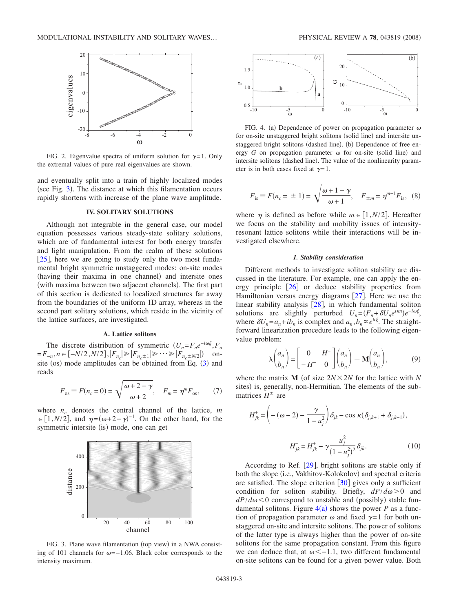<span id="page-2-0"></span>

FIG. 2. Eigenvalue spectra of uniform solution for  $\gamma=1$ . Only the extremal values of pure real eigenvalues are shown.

and eventually split into a train of highly localized modes (see Fig. [3](#page-2-1)). The distance at which this filamentation occurs rapidly shortens with increase of the plane wave amplitude.

### **IV. SOLITARY SOLUTIONS**

Although not integrable in the general case, our model equation possesses various steady-state solitary solutions, which are of fundamental interest for both energy transfer and light manipulation. From the realm of these solutions  $[25]$  $[25]$  $[25]$ , here we are going to study only the two most fundamental bright symmetric unstaggered modes: on-site modes (having their maxima in one channel) and intersite ones (with maxima between two adjacent channels). The first part of this section is dedicated to localized structures far away from the boundaries of the uniform 1D array, whereas in the second part solitary solutions, which reside in the vicinity of the lattice surfaces, are investigated.

# **A. Lattice solitons**

The discrete distribution of symmetric  $(U_n = F_n e^{-i\omega\xi}, F_n)$  $=F_{-n}, n \in [-N/2, N/2], |F_{n_c}| \ge |F_{n_c \pm 1}| \ge \cdots \ge |F_{n_c \pm N/2}|$  onsite (os) mode amplitudes can be obtained from Eq.  $(3)$  $(3)$  $(3)$  and reads

$$
F_{\text{os}} \equiv F(n_c = 0) = \sqrt{\frac{\omega + 2 - \gamma}{\omega + 2}}, \quad F_m = \eta^m F_{\text{os}}, \tag{7}
$$

where  $n_c$  denotes the central channel of the lattice,  $m$  $\in$  [1,*N*/2], and  $\eta = (\omega + 2 - \gamma)^{-1}$ . On the other hand, for the symmetric intersite (is) mode, one can get

<span id="page-2-1"></span>

FIG. 3. Plane wave filamentation (top view) in a NWA consisting of 101 channels for  $\omega = -1.06$ . Black color corresponds to the intensity maximum.



PHYSICAL REVIEW A 78, 043819 (2008)

 $\theta$ 

 $-10$   $-5$  0

FIG. 4. (a) Dependence of power on propagation parameter  $\omega$ for on-site unstaggered bright solitons (solid line) and intersite unstaggered bright solitons (dashed line). (b) Dependence of free energy  $G$  on propagation parameter  $\omega$  for on-site (solid line) and intersite solitons (dashed line). The value of the nonlinearity parameter is in both cases fixed at  $\gamma=1$ .

 $-10$   $-5$  0  $-10$   $-5$  0

 $\overline{-5}$   $\overline{0}$ 

 $0.5$ 

<span id="page-2-2"></span> $\Delta$ 

$$
F_{\text{is}} \equiv F(n_c = \pm 1) = \sqrt{\frac{\omega + 1 - \gamma}{\omega + 1}}, \quad F_{\pm m} = \eta^{m-1} F_{\text{is}}, \quad (8)
$$

where  $\eta$  is defined as before while  $m \in [1, N/2]$ . Hereafter we focus on the stability and mobility issues of intensityresonant lattice solitons while their interactions will be investigated elsewhere.

# *1. Stability consideration*

Different methods to investigate soliton stability are discussed in the literature. For example, one can apply the energy principle  $\lceil 26 \rceil$  $\lceil 26 \rceil$  $\lceil 26 \rceil$  or deduce stability properties from Hamiltonian versus energy diagrams  $[27]$  $[27]$  $[27]$ . Here we use the linear stability analysis  $[28]$  $[28]$  $[28]$ , in which fundamental soliton solutions are slightly perturbed  $U_n = (F_n + \delta U_n e^{i\kappa n})e^{-i\omega\xi}$ , where  $\delta U_n = a_n + ib_n$  is complex and  $a_n, b_n \propto e^{\lambda \xi}$ . The straightforward linearization procedure leads to the following eigenvalue problem:

$$
\lambda \binom{a_n}{b_n} = \begin{bmatrix} 0 & H^+ \\ -H^- & 0 \end{bmatrix} \binom{a_n}{b_n} = \mathbf{M} \binom{a_n}{b_n},\tag{9}
$$

where the matrix **M** (of size  $2N \times 2N$  for the lattice with N sites) is, generally, non-Hermitian. The elements of the submatrices  $H^{\pm}$  are

$$
H_{jk}^{+} = \left( -(\omega - 2) - \frac{\gamma}{1 - u_j^2} \right) \delta_{jk} - \cos \kappa (\delta_{j,k+1} + \delta_{j,k-1}),
$$

$$
H_{jk}^{-} = H_{jk}^{+} - \gamma \frac{u_j^2}{(1 - u_j^2)^2} \delta_{jk}.
$$
(10)

According to Ref.  $[29]$  $[29]$  $[29]$ , bright solitons are stable only if both the slope (i.e., Vakhitov-Kolokolov) and spectral criteria are satisfied. The slope criterion  $\left[30\right]$  $\left[30\right]$  $\left[30\right]$  gives only a sufficient condition for soliton stability. Briefly,  $dP/d\omega > 0$  and  $dP/d\omega < 0$  correspond to unstable and (possibly) stable fundamental solitons. Figure  $4(a)$  $4(a)$  shows the power *P* as a function of propagation parameter  $\omega$  and fixed  $\gamma=1$  for both unstaggered on-site and intersite solitons. The power of solitons of the latter type is always higher than the power of on-site solitons for the same propagation constant. From this figure we can deduce that, at  $\omega < -1.1$ , two different fundamental on-site solitons can be found for a given power value. Both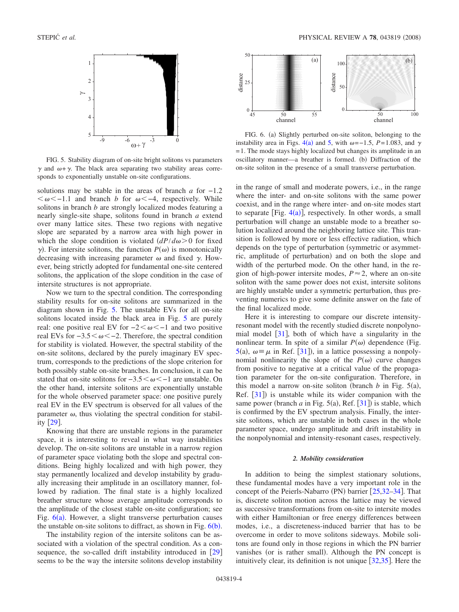<span id="page-3-0"></span>

FIG. 5. Stability diagram of on-site bright solitons vs parameters  $\gamma$  and  $\omega + \gamma$ . The black area separating two stability areas corresponds to exponentially unstable on-site configurations.

solutions may be stable in the areas of branch *a* for −1.2  $<\omega<-1.1$  and branch *b* for  $\omega<-4$ , respectively. While solitons in branch *b* are strongly localized modes featuring a nearly single-site shape, solitons found in branch *a* extend over many lattice sites. These two regions with negative slope are separated by a narrow area with high power in which the slope condition is violated  $\frac{dP}{d\omega} > 0$  for fixed  $\gamma$ ). For intersite solitons, the function  $P(\omega)$  is monotonically decreasing with increasing parameter  $\omega$  and fixed  $\gamma$ . However, being strictly adopted for fundamental one-site centered solitons, the application of the slope condition in the case of intersite structures is not appropriate.

Now we turn to the spectral condition. The corresponding stability results for on-site solitons are summarized in the diagram shown in Fig. [5.](#page-3-0) The unstable EVs for all on-site solitons located inside the black area in Fig. [5](#page-3-0) are purely real: one positive real EV for  $-2 < \omega < -1$  and two positive real EVs for  $-3.5 < \omega < -2$ . Therefore, the spectral condition for stability is violated. However, the spectral stability of the on-site solitons, declared by the purely imaginary EV spectrum, corresponds to the predictions of the slope criterion for both possibly stable on-site branches. In conclusion, it can be stated that on-site solitons for  $-3.5 < \omega < -1$  are unstable. On the other hand, intersite solitons are exponentially unstable for the whole observed parameter space: one positive purely real EV in the EV spectrum is observed for all values of the parameter  $\omega$ , thus violating the spectral condition for stability  $\lceil 29 \rceil$  $\lceil 29 \rceil$  $\lceil 29 \rceil$ .

Knowing that there are unstable regions in the parameter space, it is interesting to reveal in what way instabilities develop. The on-site solitons are unstable in a narrow region of parameter space violating both the slope and spectral conditions. Being highly localized and with high power, they stay permanently localized and develop instability by gradually increasing their amplitude in an oscillatory manner, followed by radiation. The final state is a highly localized breather structure whose average amplitude corresponds to the amplitude of the closest stable on-site configuration; see Fig.  $6(a)$  $6(a)$ . However, a slight transverse perturbation causes the unstable on-site solitons to diffract, as shown in Fig.  $6(b)$  $6(b)$ .

The instability region of the intersite solitons can be associated with a violation of the spectral condition. As a consequence, the so-called drift instability introduced in  $|29|$  $|29|$  $|29|$ seems to be the way the intersite solitons develop instability

<span id="page-3-1"></span>

FIG. 6. (a) Slightly perturbed on-site soliton, belonging to the instability area in Figs.  $4(a)$  $4(a)$  and [5,](#page-3-0) with  $\omega = -1.5$ ,  $P = 1.083$ , and  $\gamma$ = 1. The mode stays highly localized but changes its amplitude in an oscillatory manner—a breather is formed. (b) Diffraction of the on-site soliton in the presence of a small transverse perturbation.

in the range of small and moderate powers, i.e., in the range where the inter- and on-site solitons with the same power coexist, and in the range where inter- and on-site modes start to separate [Fig.  $4(a)$  $4(a)$ ], respectively. In other words, a small perturbation will change an unstable mode to a breather solution localized around the neighboring lattice site. This transition is followed by more or less effective radiation, which depends on the type of perturbation (symmetric or asymmetric, amplitude of perturbation) and on both the slope and width of the perturbed mode. On the other hand, in the region of high-power intersite modes,  $P \approx 2$ , where an on-site soliton with the same power does not exist, intersite solitons are highly unstable under a symmetric perturbation, thus preventing numerics to give some definite answer on the fate of the final localized mode.

Here it is interesting to compare our discrete intensityresonant model with the recently studied discrete nonpolynomial model  $\lceil 31 \rceil$  $\lceil 31 \rceil$  $\lceil 31 \rceil$ , both of which have a singularity in the nonlinear term. In spite of a similar  $P(\omega)$  dependence (Fig. [5](#page-3-0)(a),  $\omega = \mu$  in Ref. [[31](#page-6-15)]), in a lattice possessing a nonpolynomial nonlinearity the slope of the  $P(\omega)$  curve changes from positive to negative at a critical value of the propagation parameter for the on-site configuration. Therefore, in this model a narrow on-site soliton (branch  $b$  in Fig. 5(a), Ref.  $[31]$  $[31]$  $[31]$ ) is unstable while its wider companion with the same power (branch  $a$  in Fig. 5(a), Ref.  $[31]$  $[31]$  $[31]$ ) is stable, which is confirmed by the EV spectrum analysis. Finally, the intersite solitons, which are unstable in both cases in the whole parameter space, undergo amplitude and drift instability in the nonpolynomial and intensity-resonant cases, respectively.

### *2. Mobility consideration*

In addition to being the simplest stationary solutions, these fundamental modes have a very important role in the concept of the Peierls-Nabarro (PN) barrier [[25,](#page-6-9)32-[34](#page-6-17)]. That is, discrete soliton motion across the lattice may be viewed as successive transformations from on-site to intersite modes with either Hamiltonian or free energy differences between modes, i.e., a discreteness-induced barrier that has to be overcome in order to move solitons sideways. Mobile solitons are found only in those regions in which the PN barrier vanishes (or is rather small). Although the PN concept is intuitively clear, its definition is not unique  $\left[32,35\right]$  $\left[32,35\right]$  $\left[32,35\right]$  $\left[32,35\right]$ . Here the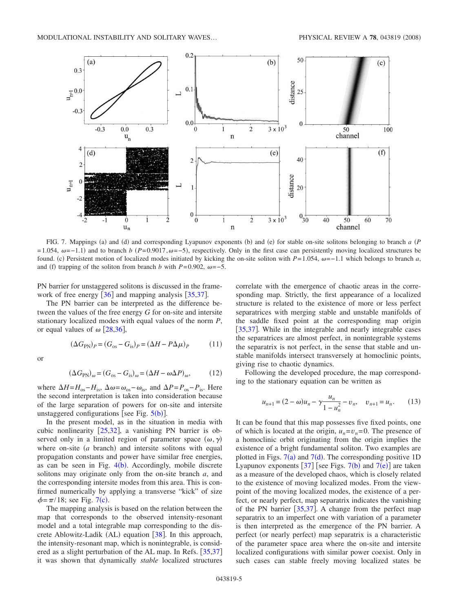<span id="page-4-0"></span>

FIG. 7. Mappings (a) and (d) and corresponding Lyapunov exponents (b) and (e) for stable on-site solitons belonging to branch *a* (P  $= 1.054$ ,  $\omega = -1.1$ ) and to branch *b*  $(P=0.9017, \omega = -5)$ , respectively. Only in the first case can persistently moving localized structures be found. (c) Persistent motion of localized modes initiated by kicking the on-site soliton with  $P=1.054$ ,  $\omega=-1.1$  which belongs to branch *a*, and (f) trapping of the soliton from branch *b* with  $P=0.902$ ,  $\omega=-5$ .

PN barrier for unstaggered solitons is discussed in the framework of free energy  $[36]$  $[36]$  $[36]$  and mapping analysis  $[35,37]$  $[35,37]$  $[35,37]$  $[35,37]$ .

The PN barrier can be interpreted as the difference between the values of the free energy *G* for on-site and intersite stationary localized modes with equal values of the norm *P*, or equal values of  $\omega$  [[28](#page-6-12)[,36](#page-6-19)],

$$
(\Delta G_{\rm PN})_P = (G_{\rm os} - G_{\rm is})_P = (\Delta H - P\Delta \mu)_P \tag{11}
$$

or

$$
(\Delta G_{\rm PN})_{\omega} = (G_{\rm os} - G_{\rm is})_{\omega} = (\Delta H - \omega \Delta P)_{\omega},\tag{12}
$$

where  $\Delta H = H_{\text{os}} - H_{\text{is}}$ ,  $\Delta \omega = \omega_{\text{os}} - \omega_{\text{is}}$ , and  $\Delta P = P_{\text{os}} - P_{\text{is}}$ . Here the second interpretation is taken into consideration because of the large separation of powers for on-site and intersite unstaggered configurations [see Fig.  $5(b)$  $5(b)$ ].

In the present model, as in the situation in media with cubic nonlinearity  $[25,32]$  $[25,32]$  $[25,32]$  $[25,32]$ , a vanishing PN barrier is observed only in a limited region of parameter space  $(\omega, \gamma)$ where on-site  $(a \text{ branch})$  and intersite solitons with equal propagation constants and power have similar free energies, as can be seen in Fig.  $4(b)$  $4(b)$ . Accordingly, mobile discrete solitons may originate only from the on-site branch *a*, and the corresponding intersite modes from this area. This is confirmed numerically by applying a transverse "kick" of size  $\phi = \pi/18$ ; see Fig. [7](#page-4-0)(c).

The mapping analysis is based on the relation between the map that corresponds to the observed intensity-resonant model and a total integrable map corresponding to the dis-crete Ablowitz-Ladik (AL) equation [[38](#page-6-21)]. In this approach, the intensity-resonant map, which is nonintegrable, is consid-ered as a slight perturbation of the AL map. In Refs. [[35,](#page-6-18)[37](#page-6-20)] it was shown that dynamically *stable* localized structures correlate with the emergence of chaotic areas in the corresponding map. Strictly, the first appearance of a localized structure is related to the existence of more or less perfect separatrices with merging stable and unstable manifolds of the saddle fixed point at the corresponding map origin [[35,](#page-6-18)[37](#page-6-20)]. While in the integrable and nearly integrable cases the separatrices are almost perfect, in nonintegrable systems the separatrix is not perfect, in the sense that stable and unstable manifolds intersect transversely at homoclinic points, giving rise to chaotic dynamics.

Following the developed procedure, the map corresponding to the stationary equation can be written as

$$
u_{n+1} = (2 - \omega)u_n - \gamma \frac{u_n}{1 - u_n^2} - v_n, \quad v_{n+1} = u_n.
$$
 (13)

It can be found that this map possesses five fixed points, one of which is located at the origin,  $u_n = v_n = 0$ . The presence of a homoclinic orbit originating from the origin implies the existence of a bright fundamental soliton. Two examples are plotted in Figs.  $7(a)$  $7(a)$  and  $7(d)$ . The corresponding positive 1D Lyapunov exponents  $[37]$  $[37]$  $[37]$  [see Figs. [7](#page-4-0)(b) and 7(e)] are taken as a measure of the developed chaos, which is closely related to the existence of moving localized modes. From the viewpoint of the moving localized modes, the existence of a perfect, or nearly perfect, map separatrix indicates the vanishing of the PN barrier  $[35,37]$  $[35,37]$  $[35,37]$  $[35,37]$ . A change from the perfect map separatrix to an imperfect one with variation of a parameter is then interpreted as the emergence of the PN barrier. A perfect (or nearly perfect) map separatrix is a characteristic of the parameter space area where the on-site and intersite localized configurations with similar power coexist. Only in such cases can stable freely moving localized states be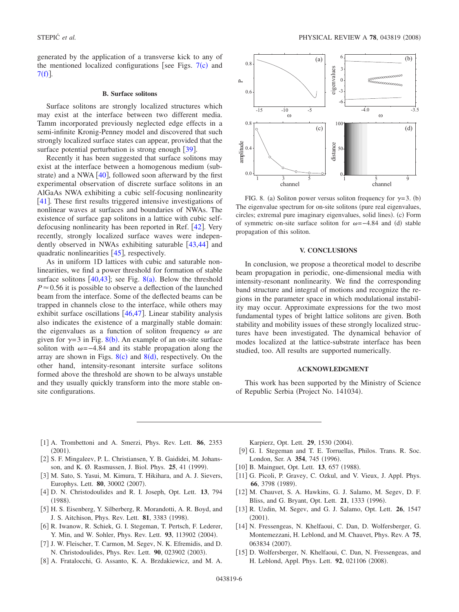generated by the application of a transverse kick to any of the mentioned localized configurations [see Figs.  $7(c)$  $7(c)$  and  $7(f)$  $7(f)$ .

### **B. Surface solitons**

Surface solitons are strongly localized structures which may exist at the interface between two different media. Tamm incorporated previously neglected edge effects in a semi-infinite Kronig-Penney model and discovered that such strongly localized surface states can appear, provided that the surface potential perturbation is strong enough  $\lceil 39 \rceil$  $\lceil 39 \rceil$  $\lceil 39 \rceil$ .

Recently it has been suggested that surface solitons may exist at the interface between a homogenous medium (substrate) and a NWA  $[40]$  $[40]$  $[40]$ , followed soon afterward by the first experimental observation of discrete surface solitons in an AlGaAs NWA exhibiting a cubic self-focusing nonlinearity [[41](#page-6-24)]. These first results triggered intensive investigations of nonlinear waves at surfaces and boundaries of NWAs. The existence of surface gap solitons in a lattice with cubic selfdefocusing nonlinearity has been reported in Ref.  $[42]$  $[42]$  $[42]$ . Very recently, strongly localized surface waves were independently observed in NWAs exhibiting saturable  $\lceil 43,44 \rceil$  $\lceil 43,44 \rceil$  $\lceil 43,44 \rceil$  $\lceil 43,44 \rceil$  and quadratic nonlinearities  $[45]$  $[45]$  $[45]$ , respectively.

As in uniform 1D lattices with cubic and saturable nonlinearities, we find a power threshold for formation of stable surface solitons  $[40, 43]$  $[40, 43]$  $[40, 43]$ ; see Fig. [8](#page-5-13)(a). Below the threshold  $P \approx 0.56$  it is possible to observe a deflection of the launched beam from the interface. Some of the deflected beams can be trapped in channels close to the interface, while others may exhibit surface oscillations  $[46,47]$  $[46,47]$  $[46,47]$  $[46,47]$ . Linear stability analysis also indicates the existence of a marginally stable domain: the eigenvalues as a function of soliton frequency  $\omega$  are given for  $\gamma = 3$  in Fig. [8](#page-5-13)(b). An example of an on-site surface soliton with  $\omega = -4.84$  and its stable propagation along the array are shown in Figs.  $8(c)$  $8(c)$  and  $8(d)$ , respectively. On the other hand, intensity-resonant intersite surface solitons formed above the threshold are shown to be always unstable and they usually quickly transform into the more stable onsite configurations.

<span id="page-5-13"></span>

FIG. 8. (a) Soliton power versus soliton frequency for  $\gamma=3$ . (b) The eigenvalue spectrum for on-site solitons (pure real eigenvalues, circles; extremal pure imaginary eigenvalues, solid lines). (c) Form of symmetric on-site surface soliton for  $\omega = -4.84$  and (d) stable propagation of this soliton.

### **V. CONCLUSIONS**

In conclusion, we propose a theoretical model to describe beam propagation in periodic, one-dimensional media with intensity-resonant nonlinearity. We find the corresponding band structure and integral of motions and recognize the regions in the parameter space in which modulational instability may occur. Approximate expressions for the two most fundamental types of bright lattice solitons are given. Both stability and mobility issues of these strongly localized structures have been investigated. The dynamical behavior of modes localized at the lattice-substrate interface has been studied, too. All results are supported numerically.

### **ACKNOWLEDGMENT**

This work has been supported by the Ministry of Science of Republic Serbia (Project No. 141034).

- 1 A. Trombettoni and A. Smerzi, Phys. Rev. Lett. **86**, 2353  $(2001).$
- <span id="page-5-0"></span>[2] S. F. Mingaleev, P. L. Christiansen, Y. B. Gaididei, M. Johansson, and K. Ø. Rasmussen, J. Biol. Phys. **25**, 41 (1999).
- <span id="page-5-1"></span>[3] M. Sato, S. Yasui, M. Kimura, T. Hikihara, and A. J. Sievers, Europhys. Lett. **80**, 30002 (2007).
- <span id="page-5-2"></span>4 D. N. Christodoulides and R. I. Joseph, Opt. Lett. **13**, 794  $(1988).$
- <span id="page-5-3"></span>5 H. S. Eisenberg, Y. Silberberg, R. Morandotti, A. R. Boyd, and J. S. Aitchison, Phys. Rev. Lett. **81**, 3383 (1998).
- <span id="page-5-4"></span>[6] R. Iwanow, R. Schiek, G. I. Stegeman, T. Pertsch, F. Lederer, Y. Min, and W. Sohler, Phys. Rev. Lett. 93, 113902 (2004).
- <span id="page-5-5"></span>[7] J. W. Fleischer, T. Carmon, M. Segev, N. K. Efremidis, and D. N. Christodoulides, Phys. Rev. Lett. 90, 023902 (2003).
- <span id="page-5-7"></span><span id="page-5-6"></span>[8] A. Fratalocchi, G. Assanto, K. A. Brzdakiewicz, and M. A.

Karpierz, Opt. Lett. 29, 1530 (2004).

- [9] G. I. Stegeman and T. E. Torruellas, Philos. Trans. R. Soc. London, Ser. A 354, 745 (1996).
- <span id="page-5-8"></span>[10] B. Mainguet, Opt. Lett. 13, 657 (1988).
- <span id="page-5-9"></span>[11] G. Picoli, P. Gravey, C. Ozkul, and V. Vieux, J. Appl. Phys. 66, 3798 (1989).
- [12] M. Chauvet, S. A. Hawkins, G. J. Salamo, M. Segev, D. F. Bliss, and G. Bryant, Opt. Lett. 21, 1333 (1996).
- <span id="page-5-10"></span>13 R. Uzdin, M. Segev, and G. J. Salamo, Opt. Lett. **26**, 1547  $(2001).$
- <span id="page-5-11"></span>[14] N. Fressengeas, N. Khelfaoui, C. Dan, D. Wolfersberger, G. Montemezzani, H. Leblond, and M. Chauvet, Phys. Rev. A **75**, 063834 (2007).
- <span id="page-5-12"></span>[15] D. Wolfersberger, N. Khelfaoui, C. Dan, N. Fressengeas, and H. Leblond, Appl. Phys. Lett. 92, 021106 (2008).